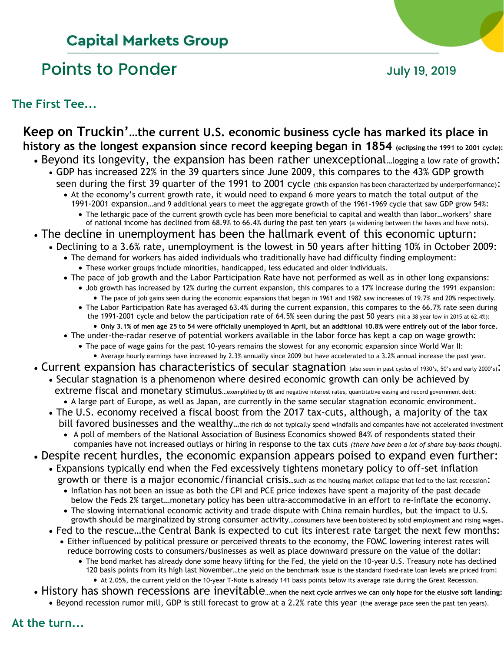# **Capital Markets Group**

# Points to Ponder and Tuly 19, 2019

**The First Tee...**

## **Keep on Truckin'…the current U.S. economic business cycle has marked its place in history as the longest expansion since record keeping began in 1854 (eclipsing the 1991 to 2001 cycle):**

- Beyond its longevity, the expansion has been rather unexceptional...logging a low rate of growth:
- GDP has increased 22% in the 39 quarters since June 2009, this compares to the 43% GDP growth seen during the first 39 quarter of the 1991 to 2001 cycle (this expansion has been characterized by underperformance):
	- At the economy's current growth rate, it would need to expand 6 more years to match the total output of the 1991-2001 expansion…and 9 additional years to meet the aggregate growth of the 1961-1969 cycle that saw GDP grow 54%:
		- The lethargic pace of the current growth cycle has been more beneficial to capital and wealth than labor…workers' share of national income has declined from 68.9% to 66.4% during the past ten years (a widening between the haves and have nots).
- The decline in unemployment has been the hallmark event of this economic upturn:
	- Declining to a 3.6% rate, unemployment is the lowest in 50 years after hitting 10% in October 2009:
		- The demand for workers has aided individuals who traditionally have had difficulty finding employment:
		- These worker groups include minorities, handicapped, less educated and older individuals.
		- The pace of job growth and the Labor Participation Rate have not performed as well as in other long expansions: • Job growth has increased by 12% during the current expansion, this compares to a 17% increase during the 1991 expansion:
			- The pace of job gains seen during the economic expansions that began in 1961 and 1982 saw increases of 19.7% and 20% respectively.
			- The Labor Participation Rate has averaged 63.4% during the current expansion, this compares to the 66.7% rate seen during the 1991-2001 cycle and below the participation rate of 64.5% seen during the past 50 years (hit a 38 year low in 2015 at 62.4%):
			- **Only 3.1% of men age 25 to 54 were officially unemployed in April, but an additional 10.8% were entirely out of the labor force.**
		- The under-the-radar reserve of potential workers available in the labor force has kept a cap on wage growth:
			- The pace of wage gains for the past 10-years remains the slowest for any economic expansion since World War II:
			- Average hourly earnings have increased by 2.3% annually since 2009 but have accelerated to a 3.2% annual increase the past year.
	- Current expansion has characteristics of secular stagnation (also seen in past cycles of 1930's, 50's and early 2000's): • Secular stagnation is a phenomenon where desired economic growth can only be achieved by
		- extreme fiscal and monetary stimulus...exemplified by 0% and negative interest rates, quantitative easing and record government debt: • A large part of Europe, as well as Japan, are currently in the same secular stagnation economic environment.
		- The U.S. economy received a fiscal boost from the 2017 tax-cuts, although, a majority of the tax
			- bill favored businesses and the wealthy…the rich do not typically spend windfalls and companies have not accelerated investment • A poll of members of the National Association of Business Economics showed 84% of respondents stated their
		- companies have not increased outlays or hiring in response to the tax cuts *(there have been a lot of share buy-backs though)*.
	- Despite recent hurdles, the economic expansion appears poised to expand even further:
		- Expansions typically end when the Fed excessively tightens monetary policy to off-set inflation growth or there is a major economic/financial crisis...such as the housing market collapse that led to the last recession:
			- Inflation has not been an issue as both the CPI and PCE price indexes have spent a majority of the past decade below the Feds 2% target…monetary policy has been ultra-accommodative in an effort to re-inflate the economy.
			- The slowing international economic activity and trade dispute with China remain hurdles, but the impact to U.S. growth should be marginalized by strong consumer activity…consumers have been bolstered by solid employment and rising wages.
		- Fed to the rescue…the Central Bank is expected to cut its interest rate target the next few months: • Either influenced by political pressure or perceived threats to the economy, the FOMC lowering interest rates will
			- reduce borrowing costs to consumers/businesses as well as place downward pressure on the value of the dollar:
				- The bond market has already done some heavy lifting for the Fed, the yield on the 10-year U.S. Treasury note has declined 120 basis points from its high last November…the yield on the benchmark issue is the standard fixed-rate loan levels are priced from:
					- At 2.05%, the current yield on the 10-year T-Note is already 141 basis points below its average rate during the Great Recession.
	- History has shown recessions are inevitable**…when the next cycle arrives we can only hope for the elusive soft landing:**
		- Beyond recession rumor mill, GDP is still forecast to grow at a 2.2% rate this year (the average pace seen the past ten years).